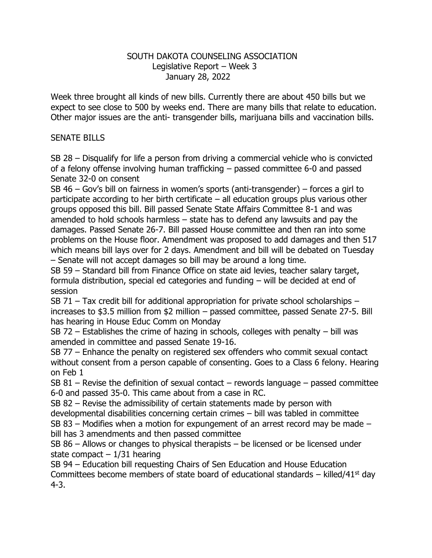## SOUTH DAKOTA COUNSELING ASSOCIATION Legislative Report – Week 3 January 28, 2022

Week three brought all kinds of new bills. Currently there are about 450 bills but we expect to see close to 500 by weeks end. There are many bills that relate to education. Other major issues are the anti- transgender bills, marijuana bills and vaccination bills.

## SENATE BILLS

SB 28 – Disqualify for life a person from driving a commercial vehicle who is convicted of a felony offense involving human trafficking – passed committee 6-0 and passed Senate 32-0 on consent

SB 46 – Gov's bill on fairness in women's sports (anti-transgender) – forces a girl to participate according to her birth certificate – all education groups plus various other groups opposed this bill. Bill passed Senate State Affairs Committee 8-1 and was amended to hold schools harmless – state has to defend any lawsuits and pay the damages. Passed Senate 26-7. Bill passed House committee and then ran into some problems on the House floor. Amendment was proposed to add damages and then 517 which means bill lays over for 2 days. Amendment and bill will be debated on Tuesday – Senate will not accept damages so bill may be around a long time.

SB 59 – Standard bill from Finance Office on state aid levies, teacher salary target, formula distribution, special ed categories and funding – will be decided at end of session

SB 71 – Tax credit bill for additional appropriation for private school scholarships – increases to \$3.5 million from \$2 million – passed committee, passed Senate 27-5. Bill has hearing in House Educ Comm on Monday

SB 72 – Establishes the crime of hazing in schools, colleges with penalty – bill was amended in committee and passed Senate 19-16.

SB 77 – Enhance the penalty on registered sex offenders who commit sexual contact without consent from a person capable of consenting. Goes to a Class 6 felony. Hearing on Feb 1

SB 81 – Revise the definition of sexual contact – rewords language – passed committee 6-0 and passed 35-0. This came about from a case in RC.

SB 82 – Revise the admissibility of certain statements made by person with developmental disabilities concerning certain crimes – bill was tabled in committee

SB 83 – Modifies when a motion for expungement of an arrest record may be made – bill has 3 amendments and then passed committee

SB 86 – Allows or changes to physical therapists – be licensed or be licensed under state compact  $-1/31$  hearing

SB 94 – Education bill requesting Chairs of Sen Education and House Education Committees become members of state board of educational standards – killed/41<sup>st</sup> day 4-3.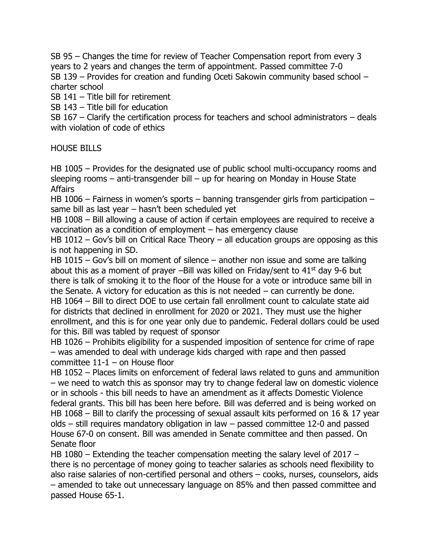SB 95 – Changes the time for review of Teacher Compensation report from every 3 years to 2 years and changes the term of appointment. Passed committee 7-0 SB 139 – Provides for creation and funding Oceti Sakowin community based school – charter school

SB 141 – Title bill for retirement

SB 143 – Title bill for education

SB 167 – Clarify the certification process for teachers and school administrators – deals with violation of code of ethics

HOUSE BILLS

HB 1005 – Provides for the designated use of public school multi-occupancy rooms and sleeping rooms – anti-transgender bill – up for hearing on Monday in House State Affairs

HB 1006 – Fairness in women's sports – banning transgender girls from participation – same bill as last year – hasn't been scheduled yet

HB 1008 – Bill allowing a cause of action if certain employees are required to receive a vaccination as a condition of employment – has emergency clause

HB 1012 – Gov's bill on Critical Race Theory – all education groups are opposing as this is not happening in SD.

HB 1015 – Gov's bill on moment of silence – another non issue and some are talking about this as a moment of prayer –Bill was killed on Friday/sent to  $41<sup>st</sup>$  day 9-6 but there is talk of smoking it to the floor of the House for a vote or introduce same bill in the Senate. A victory for education as this is not needed – can currently be done. HB 1064 – Bill to direct DOE to use certain fall enrollment count to calculate state aid for districts that declined in enrollment for 2020 or 2021. They must use the higher enrollment, and this is for one year only due to pandemic. Federal dollars could be used for this. Bill was tabled by request of sponsor

HB 1026 – Prohibits eligibility for a suspended imposition of sentence for crime of rape – was amended to deal with underage kids charged with rape and then passed committee 11-1 – on House floor

HB 1052 – Places limits on enforcement of federal laws related to guns and ammunition – we need to watch this as sponsor may try to change federal law on domestic violence or in schools - this bill needs to have an amendment as it affects Domestic Violence federal grants. This bill has been here before. Bill was deferred and is being worked on HB 1068 – Bill to clarify the processing of sexual assault kits performed on 16 & 17 year olds – still requires mandatory obligation in law – passed committee 12-0 and passed House 67-0 on consent. Bill was amended in Senate committee and then passed. On Senate floor

HB 1080 – Extending the teacher compensation meeting the salary level of 2017 – there is no percentage of money going to teacher salaries as schools need flexibility to also raise salaries of non-certified personal and others – cooks, nurses, counselors, aids – amended to take out unnecessary language on 85% and then passed committee and passed House 65-1.